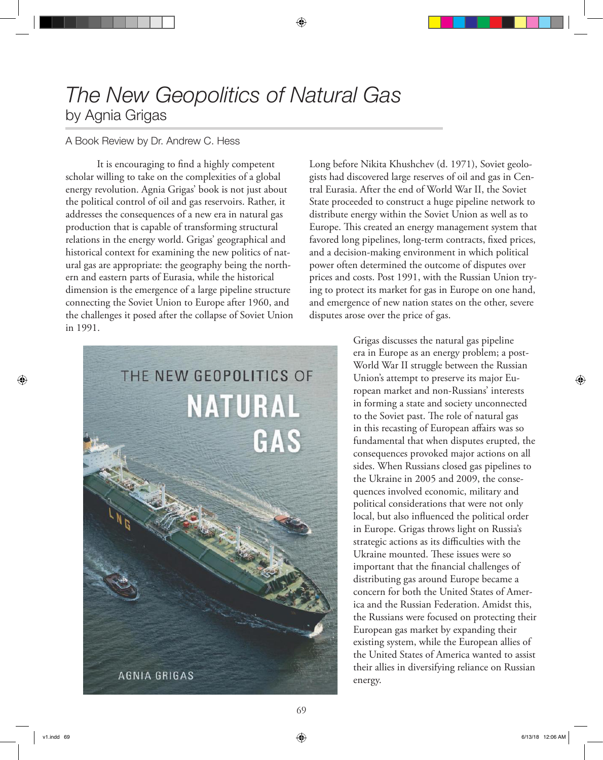## *The New Geopolitics of Natural Gas* by Agnia Grigas

## A Book Review by Dr. Andrew C. Hess

It is encouraging to find a highly competent scholar willing to take on the complexities of a global energy revolution. Agnia Grigas' book is not just about the political control of oil and gas reservoirs. Rather, it addresses the consequences of a new era in natural gas production that is capable of transforming structural relations in the energy world. Grigas' geographical and historical context for examining the new politics of natural gas are appropriate: the geography being the northern and eastern parts of Eurasia, while the historical dimension is the emergence of a large pipeline structure connecting the Soviet Union to Europe after 1960, and the challenges it posed after the collapse of Soviet Union in 1991.



Long before Nikita Khushchev (d. 1971), Soviet geologists had discovered large reserves of oil and gas in Central Eurasia. After the end of World War II, the Soviet State proceeded to construct a huge pipeline network to distribute energy within the Soviet Union as well as to Europe. This created an energy management system that favored long pipelines, long-term contracts, fixed prices, and a decision-making environment in which political power often determined the outcome of disputes over prices and costs. Post 1991, with the Russian Union trying to protect its market for gas in Europe on one hand, and emergence of new nation states on the other, severe disputes arose over the price of gas.

> Grigas discusses the natural gas pipeline era in Europe as an energy problem; a post-World War II struggle between the Russian Union's attempt to preserve its major European market and non-Russians' interests in forming a state and society unconnected to the Soviet past. The role of natural gas in this recasting of European affairs was so fundamental that when disputes erupted, the consequences provoked major actions on all sides. When Russians closed gas pipelines to the Ukraine in 2005 and 2009, the consequences involved economic, military and political considerations that were not only local, but also influenced the political order in Europe. Grigas throws light on Russia's strategic actions as its difficulties with the Ukraine mounted. These issues were so important that the financial challenges of distributing gas around Europe became a concern for both the United States of America and the Russian Federation. Amidst this, the Russians were focused on protecting their European gas market by expanding their existing system, while the European allies of the United States of America wanted to assist their allies in diversifying reliance on Russian energy.